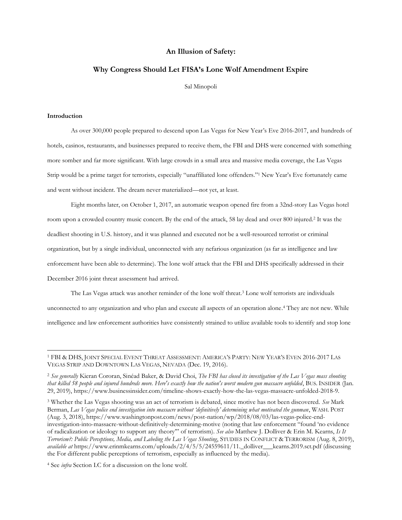# **An Illusion of Safety:**

### **Why Congress Should Let FISA's Lone Wolf Amendment Expire**

Sal Minopoli

### **Introduction**

 $\overline{a}$ 

As over 300,000 people prepared to descend upon Las Vegas for New Year's Eve 2016-2017, and hundreds of hotels, casinos, restaurants, and businesses prepared to receive them, the FBI and DHS were concerned with something more somber and far more significant. With large crowds in a small area and massive media coverage, the Las Vegas Strip would be a prime target for terrorists, especially "unaffiliated lone offenders." <sup>1</sup> New Year's Eve fortunately came and went without incident. The dream never materialized—not yet, at least.

Eight months later, on October 1, 2017, an automatic weapon opened fire from a 32nd-story Las Vegas hotel room upon a crowded country music concert. By the end of the attack, 58 lay dead and over 800 injured. <sup>2</sup> It was the deadliest shooting in U.S. history, and it was planned and executed not be a well-resourced terrorist or criminal organization, but by a single individual, unconnected with any nefarious organization (as far as intelligence and law enforcement have been able to determine). The lone wolf attack that the FBI and DHS specifically addressed in their December 2016 joint threat assessment had arrived.

The Las Vegas attack was another reminder of the lone wolf threat.<sup>3</sup> Lone wolf terrorists are individuals unconnected to any organization and who plan and execute all aspects of an operation alone. <sup>4</sup> They are not new. While intelligence and law enforcement authorities have consistently strained to utilize available tools to identify and stop lone

<sup>3</sup> Whether the Las Vegas shooting was an act of terrorism is debated, since motive has not been discovered. *See* Mark Berman, *Las Vegas police end investigation into massacre without 'definitively' determining what motivated the gunman*, WASH. POST (Aug. 3, 2018), https://www.washingtonpost.com/news/post-nation/wp/2018/08/03/las-vegas-police-endinvestigation-into-massacre-without-definitively-determining-motive (noting that law enforcement "found 'no evidence of radicalization or ideology to support any theory'" of terrorism). *See also* Matthew J. Dolliver & Erin M. Kearns, *Is It Terrorism?: Public Perceptions, Media, and Labeling the Las Vegas Shooting*, STUDIES IN CONFLICT & TERRORISM (Aug. 8, 2019), *available at* https://www.erinmkearns.com/uploads/2/4/5/5/24559611/11.\_dolliver\_\_\_kearns.2019.sct.pdf (discussing the For different public perceptions of terrorism, especially as influenced by the media).

<sup>4</sup> See *infra* Section I.C for a discussion on the lone wolf.

<sup>1</sup> FBI & DHS, JOINT SPECIAL EVENT THREAT ASSESSMENT: AMERICA'S PARTY: NEW YEAR'S EVEN 2016-2017 LAS VEGAS STRIP AND DOWNTOWN LAS VEGAS, NEVADA (Dec. 19, 2016).

<sup>2</sup> *See generally* Kieran Cororan, Sinéad Baker, & David Choi, *The FBI has closed its investigation of the Las Vegas mass shooting that killed 58 people and injured hundreds more. Here's exactly how the nation's worst modern gun massacre unfolded*, BUS. INSIDER (Jan. 29, 2019), https://www.businessinsider.com/timeline-shows-exactly-how-the-las-vegas-massacre-unfolded-2018-9.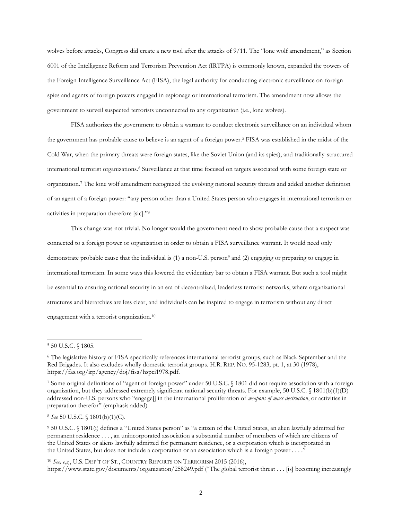wolves before attacks, Congress did create a new tool after the attacks of 9/11. The "lone wolf amendment," as Section 6001 of the Intelligence Reform and Terrorism Prevention Act (IRTPA) is commonly known, expanded the powers of the Foreign Intelligence Surveillance Act (FISA), the legal authority for conducting electronic surveillance on foreign spies and agents of foreign powers engaged in espionage or international terrorism. The amendment now allows the government to surveil suspected terrorists unconnected to any organization (i.e., lone wolves).

FISA authorizes the government to obtain a warrant to conduct electronic surveillance on an individual whom the government has probable cause to believe is an agent of a foreign power.<sup>5</sup> FISA was established in the midst of the Cold War, when the primary threats were foreign states, like the Soviet Union (and its spies), and traditionally-structured international terrorist organizations.<sup>6</sup> Surveillance at that time focused on targets associated with some foreign state or organization.<sup>7</sup> The lone wolf amendment recognized the evolving national security threats and added another definition of an agent of a foreign power: "any person other than a United States person who engages in international terrorism or activities in preparation therefore [sic]."<sup>8</sup>

This change was not trivial. No longer would the government need to show probable cause that a suspect was connected to a foreign power or organization in order to obtain a FISA surveillance warrant. It would need only demonstrate probable cause that the individual is (1) a non-U.S. person<sup>9</sup> and (2) engaging or preparing to engage in international terrorism. In some ways this lowered the evidentiary bar to obtain a FISA warrant. But such a tool might be essential to ensuring national security in an era of decentralized, leaderless terrorist networks, where organizational structures and hierarchies are less clear, and individuals can be inspired to engage in terrorism without any direct engagement with a terrorist organization.<sup>10</sup>

 $\overline{a}$ 

<sup>8</sup> *See* 50 U.S.C. § 1801(b)(1)(C).

<sup>9</sup> 50 U.S.C. § 1801(i) defines a "United States person" as "a citizen of the United States, an alien lawfully admitted for permanent residence . . . , an unincorporated association a substantial number of members of which are citizens of the United States or aliens lawfully admitted for permanent residence, or a corporation which is incorporated in the United States, but does not include a corporation or an association which is a foreign power . . . ."

<sup>10</sup> *See, e.g.*, U.S. DEP'T OF ST., COUNTRY REPORTS ON TERRORISM 2015 (2016), https://www.state.gov/documents/organization/258249.pdf ("The global terrorist threat . . . [is] becoming increasingly

<sup>5</sup> 50 U.S.C. § 1805.

<sup>6</sup> The legislative history of FISA specifically references international terrorist groups, such as Black September and the Red Brigades. It also excludes wholly domestic terrorist groups. H.R. REP. NO. 95-1283, pt. 1, at 30 (1978), https://fas.org/irp/agency/doj/fisa/hspci1978.pdf.

<sup>7</sup> Some original definitions of "agent of foreign power" under 50 U.S.C. § 1801 did not require association with a foreign organization, but they addressed extremely significant national security threats. For example, 50 U.S.C. § 1801(b)(1)(D) addressed non-U.S. persons who "engage[] in the international proliferation of *weapons of mass destruction*, or activities in preparation therefor" (emphasis added).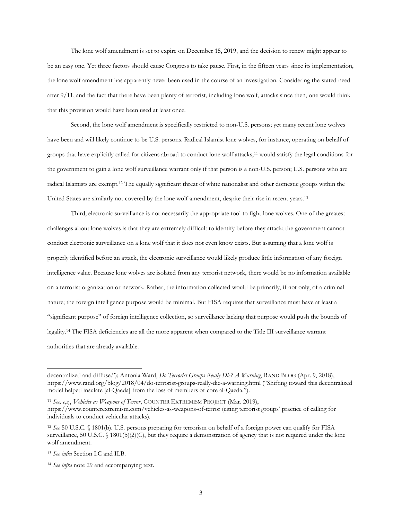The lone wolf amendment is set to expire on December 15, 2019, and the decision to renew might appear to be an easy one. Yet three factors should cause Congress to take pause. First, in the fifteen years since its implementation, the lone wolf amendment has apparently never been used in the course of an investigation. Considering the stated need after 9/11, and the fact that there have been plenty of terrorist, including lone wolf, attacks since then, one would think that this provision would have been used at least once.

Second, the lone wolf amendment is specifically restricted to non-U.S. persons; yet many recent lone wolves have been and will likely continue to be U.S. persons. Radical Islamist lone wolves, for instance, operating on behalf of groups that have explicitly called for citizens abroad to conduct lone wolf attacks,<sup>11</sup> would satisfy the legal conditions for the government to gain a lone wolf surveillance warrant only if that person is a non-U.S. person; U.S. persons who are radical Islamists are exempt.<sup>12</sup> The equally significant threat of white nationalist and other domestic groups within the United States are similarly not covered by the lone wolf amendment, despite their rise in recent years.<sup>13</sup>

Third, electronic surveillance is not necessarily the appropriate tool to fight lone wolves. One of the greatest challenges about lone wolves is that they are extremely difficult to identify before they attack; the government cannot conduct electronic surveillance on a lone wolf that it does not even know exists. But assuming that a lone wolf is properly identified before an attack, the electronic surveillance would likely produce little information of any foreign intelligence value. Because lone wolves are isolated from any terrorist network, there would be no information available on a terrorist organization or network. Rather, the information collected would be primarily, if not only, of a criminal nature; the foreign intelligence purpose would be minimal. But FISA requires that surveillance must have at least a "significant purpose" of foreign intelligence collection, so surveillance lacking that purpose would push the bounds of legality.<sup>14</sup> The FISA deficiencies are all the more apparent when compared to the Title III surveillance warrant authorities that are already available.

decentralized and diffuse."); Antonia Ward, *Do Terrorist Groups Really Die? A Warning*, RAND BLOG (Apr. 9, 2018), https://www.rand.org/blog/2018/04/do-terrorist-groups-really-die-a-warning.html ("Shifting toward this decentralized model helped insulate [al-Qaeda] from the loss of members of core al-Qaeda.").

<sup>11</sup> *See, e.g.*, *Vehicles as Weapons of Terror*, COUNTER EXTREMISM PROJECT (Mar. 2019), https://www.counterextremism.com/vehicles-as-weapons-of-terror (citing terrorist groups' practice of calling for individuals to conduct vehicular attacks).

<sup>12</sup> *See* 50 U.S.C. § 1801(b). U.S. persons preparing for terrorism on behalf of a foreign power can qualify for FISA surveillance, 50 U.S.C. § 1801(b)(2)(C), but they require a demonstration of agency that is not required under the lone wolf amendment.

<sup>13</sup> *See infra* Section I.C and II.B.

<sup>14</sup> *See infra* note 29 and accompanying text.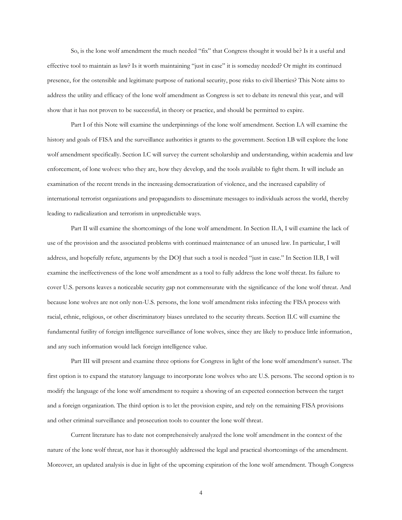So, is the lone wolf amendment the much needed "fix" that Congress thought it would be? Is it a useful and effective tool to maintain as law? Is it worth maintaining "just in case" it is someday needed? Or might its continued presence, for the ostensible and legitimate purpose of national security, pose risks to civil liberties? This Note aims to address the utility and efficacy of the lone wolf amendment as Congress is set to debate its renewal this year, and will show that it has not proven to be successful, in theory or practice, and should be permitted to expire.

Part I of this Note will examine the underpinnings of the lone wolf amendment. Section I.A will examine the history and goals of FISA and the surveillance authorities it grants to the government. Section I.B will explore the lone wolf amendment specifically. Section I.C will survey the current scholarship and understanding, within academia and law enforcement, of lone wolves: who they are, how they develop, and the tools available to fight them. It will include an examination of the recent trends in the increasing democratization of violence, and the increased capability of international terrorist organizations and propagandists to disseminate messages to individuals across the world, thereby leading to radicalization and terrorism in unpredictable ways.

Part II will examine the shortcomings of the lone wolf amendment. In Section II.A, I will examine the lack of use of the provision and the associated problems with continued maintenance of an unused law. In particular, I will address, and hopefully refute, arguments by the DOJ that such a tool is needed "just in case." In Section II.B, I will examine the ineffectiveness of the lone wolf amendment as a tool to fully address the lone wolf threat. Its failure to cover U.S. persons leaves a noticeable security gap not commensurate with the significance of the lone wolf threat. And because lone wolves are not only non-U.S. persons, the lone wolf amendment risks infecting the FISA process with racial, ethnic, religious, or other discriminatory biases unrelated to the security threats. Section II.C will examine the fundamental futility of foreign intelligence surveillance of lone wolves, since they are likely to produce little information, and any such information would lack foreign intelligence value.

Part III will present and examine three options for Congress in light of the lone wolf amendment's sunset. The first option is to expand the statutory language to incorporate lone wolves who are U.S. persons. The second option is to modify the language of the lone wolf amendment to require a showing of an expected connection between the target and a foreign organization. The third option is to let the provision expire, and rely on the remaining FISA provisions and other criminal surveillance and prosecution tools to counter the lone wolf threat.

Current literature has to date not comprehensively analyzed the lone wolf amendment in the context of the nature of the lone wolf threat, nor has it thoroughly addressed the legal and practical shortcomings of the amendment. Moreover, an updated analysis is due in light of the upcoming expiration of the lone wolf amendment. Though Congress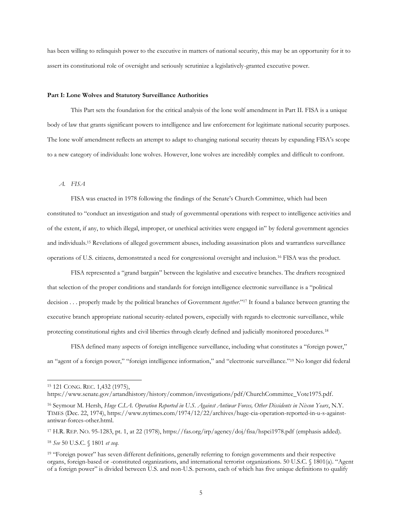has been willing to relinquish power to the executive in matters of national security, this may be an opportunity for it to assert its constitutional role of oversight and seriously scrutinize a legislatively-granted executive power.

#### **Part I: Lone Wolves and Statutory Surveillance Authorities**

This Part sets the foundation for the critical analysis of the lone wolf amendment in Part II. FISA is a unique body of law that grants significant powers to intelligence and law enforcement for legitimate national security purposes. The lone wolf amendment reflects an attempt to adapt to changing national security threats by expanding FISA's scope to a new category of individuals: lone wolves. However, lone wolves are incredibly complex and difficult to confront.

## *A. FISA*

FISA was enacted in 1978 following the findings of the Senate's Church Committee, which had been constituted to "conduct an investigation and study of governmental operations with respect to intelligence activities and of the extent, if any, to which illegal, improper, or unethical activities were engaged in" by federal government agencies and individuals.<sup>15</sup> Revelations of alleged government abuses, including assassination plots and warrantless surveillance operations of U.S. citizens, demonstrated a need for congressional oversight and inclusion.<sup>16</sup> FISA was the product.

FISA represented a "grand bargain" between the legislative and executive branches. The drafters recognized that selection of the proper conditions and standards for foreign intelligence electronic surveillance is a "political decision . . . properly made by the political branches of Government *together*."<sup>17</sup> It found a balance between granting the executive branch appropriate national security-related powers, especially with regards to electronic surveillance, while protecting constitutional rights and civil liberties through clearly defined and judicially monitored procedures.<sup>18</sup>

FISA defined many aspects of foreign intelligence surveillance, including what constitutes a "foreign power," an "agent of a foreign power," "foreign intelligence information," and "electronic surveillance."<sup>19</sup> No longer did federal

 $\overline{a}$ 

<sup>18</sup> *See* 50 U.S.C. § 1801 *et seq.*

<sup>15</sup> 121 CONG. REC. 1,432 (1975),

https://www.senate.gov/artandhistory/history/common/investigations/pdf/ChurchCommittee\_Vote1975.pdf.

<sup>16</sup> Seymour M. Hersh, *Huge C.I.A. Operation Reported in U.S. Against Antiwar Forces, Other Dissidents in Nixon Years*, N.Y. TIMES (Dec. 22, 1974), https://www.nytimes.com/1974/12/22/archives/huge-cia-operation-reported-in-u-s-againstantiwar-forces-other.html.

<sup>17</sup> H.R. REP. NO. 95-1283, pt. 1, at 22 (1978), https://fas.org/irp/agency/doj/fisa/hspci1978.pdf (emphasis added).

<sup>19</sup> "Foreign power" has seven different definitions, generally referring to foreign governments and their respective organs, foreign-based or -constituted organizations, and international terrorist organizations. 50 U.S.C. § 1801(a). "Agent of a foreign power" is divided between U.S. and non-U.S. persons, each of which has five unique definitions to qualify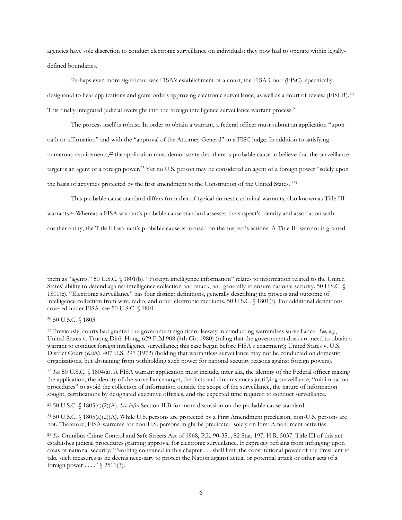agencies have sole discretion to conduct electronic surveillance on individuals: they now had to operate within legallydefined boundaries.

Perhaps even more significant was FISA's establishment of a court, the FISA Court (FISC), specifically designated to hear applications and grant orders approving electronic surveillance, as well as a court of review (FISCR).<sup>20</sup> This finally integrated judicial oversight into the foreign intelligence surveillance warrant process.<sup>21</sup>

The process itself is robust. In order to obtain a warrant, a federal officer must submit an application "upon oath or affirmation" and with the "approval of the Attorney General" to a FISC judge. In addition to satisfying numerous requirements,<sup>22</sup> the application must demonstrate that there is probable cause to believe that the surveillance target is an agent of a foreign power.<sup>23</sup> Yet no U.S. person may be considered an agent of a foreign power "solely upon the basis of activities protected by the first amendment to the Constitution of the United States."<sup>24</sup>

This probable cause standard differs from that of typical domestic criminal warrants, also known as Title III warrants. <sup>25</sup> Whereas a FISA warrant's probable cause standard assesses the suspect's identity and association with another entity, the Title III warrant's probable cause is focused on the suspect's actions. A Title III warrant is granted

<sup>20</sup> 50 U.S.C. § 1803.

them as "agents." 50 U.S.C. § 1801(b). "Foreign intelligence information" relates to information related to the United States' ability to defend against intelligence collection and attack, and generally to ensure national security. 50 U.S.C. § 1801(c). "Electronic surveillance" has four distinct definitions, generally describing the process and outcome of intelligence collection from wire, radio, and other electronic mediums. 50 U.S.C. § 1801(f). For additional definitions covered under FISA, see 50 U.S.C. § 1801.

<sup>21</sup> Previously, courts had granted the government significant leeway in conducting warrantless surveillance. *See, e.g.*, United States v. Truong Dinh Hung, 629 F.2d 908 (4th Cir. 1980) (ruling that the government does not need to obtain a warrant to conduct foreign intelligence surveillance; this case began before FISA's enactment); United States v. U.S. District Court (*Keith*), 407 U.S. 297 (1972) (holding that warrantless surveillance may not be conducted on domestic organizations, but abstaining from withholding such power for national security reasons against foreign powers).

<sup>22</sup> *See* 50 U.S.C. § 1804(a). A FISA warrant application must include, inter alia, the identity of the Federal officer making the application, the identity of the surveillance target, the facts and circumstances justifying surveillance, "minimization procedures" to avoid the collection of information outside the scope of the surveillance, the nature of information sought, certifications by designated executive officials, and the expected time required to conduct surveillance.

<sup>23</sup> 50 U.S.C. § 1805(a)(2)(A). *See infra* Section II.B for more discussion on the probable cause standard.

<sup>24</sup> 50 U.S.C. § 1805(a)(2)(A). While U.S. persons are protected by a First Amendment preclusion, non-U.S. persons are not. Therefore, FISA warrants for non-U.S. persons might be predicated solely on First Amendment activities.

<sup>25</sup> *See* Omnibus Crime Control and Safe Streets Act of 1968, P.L. 90-351, 82 Stat. 197, H.R. 5037. Title III of this act establishes judicial procedures granting approval for electronic surveillance. It expressly refrains from infringing upon areas of national security: "Nothing contained in this chapter . . . shall limit the constitutional power of the President to take such measures as he deems necessary to protect the Nation against actual or potential attack or other acts of a foreign power . . . . " § 2511(3).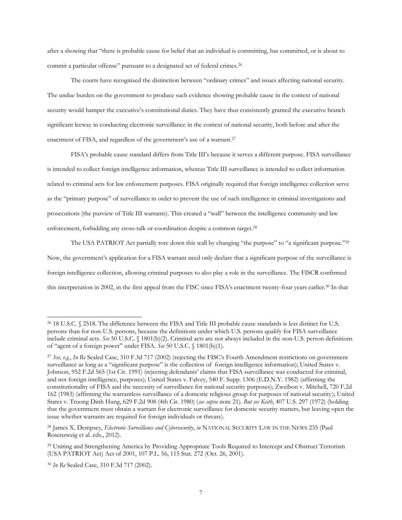after a showing that "there is probable cause for belief that an individual is committing, has committed, or is about to commit a particular offense" pursuant to a designated set of federal crimes.<sup>26</sup>

The courts have recognized the distinction between "ordinary crimes" and issues affecting national security. The undue burden on the government to produce such evidence showing probable cause in the context of national security would hamper the executive's constitutional duties. They have thus consistently granted the executive branch significant leeway in conducting electronic surveillance in the context of national security, both before and after the enactment of FISA, and regardless of the government's use of a warrant.<sup>27</sup>

FISA's probable cause standard differs from Title III's because it serves a different purpose. FISA surveillance is intended to collect foreign intelligence information, whereas Title III surveillance is intended to collect information related to criminal acts for law enforcement purposes. FISA originally required that foreign intelligence collection serve as the "primary purpose" of surveillance in order to prevent the use of such intelligence in criminal investigations and prosecutions (the purview of Title III warrants). This created a "wall" between the intelligence community and law enforcement, forbidding any cross-talk or coordination despite a common target.<sup>28</sup>

The USA PATRIOT Act partially tore down this wall by changing "the purpose" to "a significant purpose."<sup>29</sup> Now, the government's application for a FISA warrant need only declare that a significant purpose of the surveillance is foreign intelligence collection, allowing criminal purposes to also play a role in the surveillance. The FISCR confirmed this interpretation in 2002, in the first appeal from the FISC since FISA's enactment twenty-four years earlier.<sup>30</sup> In that

<sup>26</sup> 18 U.S.C. § 2518. The difference between the FISA and Title III probable cause standards is less distinct for U.S. persons than for non-U.S. persons, because the definitions under which U.S. persons qualify for FISA surveillance include criminal acts. *See* 50 U.S.C. § 1801(b)(2). Criminal acts are not always included in the non-U.S. person definitions of "agent of a foreign power" under FISA. *See* 50 U.S.C. § 1801(b)(1).

<sup>27</sup> *See, e.g.*, *In Re* Sealed Case, 310 F.3d 717 (2002) (rejecting the FISC's Fourth Amendment restrictions on government surveillance as long as a "significant purpose" is the collection of foreign intelligence information); United States v. Johnson, 952 F.2d 565 (1st Cir. 1991) (rejecting defendants' claims that FISA surveillance was conducted for criminal, and not foreign intelligence, purposes); United States v. Falvey, 540 F. Supp. 1306 (E.D.N.Y. 1982) (affirming the constitutionality of FISA and the necessity of surveillance for national security purposes); Zweibon v. Mitchell, 720 F.2d 162 (1983) (affirming the warrantless surveillance of a domestic religious group for purposes of national security); United States v. Truong Dinh Hung, 629 F.2d 908 (4th Cir. 1980) (*see supra* note 21). *But see Keith*, 407 U.S. 297 (1972) (holding that the government must obtain a warrant for electronic surveillance for domestic security matters, but leaving open the issue whether warrants are required for foreign individuals or threats).

<sup>28</sup> James X. Dempsey, *Electronic Surveillance and Cybersecurity*, *in* NATIONAL SECURITY LAW IN THE NEWS 235 (Paul Rosenzweig et al. eds., 2012).

<sup>29</sup> Uniting and Strengthening America by Providing Appropriate Tools Required to Intercept and Obstruct Terrorism (USA PATRIOT Act) Act of 2001, 107 P.L. 56, 115 Stat. 272 (Oct. 26, 2001).

<sup>30</sup> *In Re* Sealed Case, 310 F.3d 717 (2002).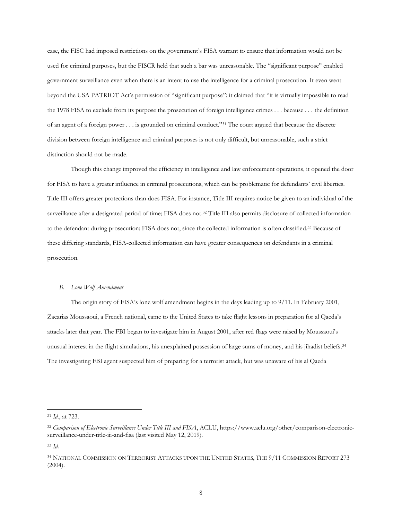case, the FISC had imposed restrictions on the government's FISA warrant to ensure that information would not be used for criminal purposes, but the FISCR held that such a bar was unreasonable. The "significant purpose" enabled government surveillance even when there is an intent to use the intelligence for a criminal prosecution. It even went beyond the USA PATRIOT Act's permission of "significant purpose": it claimed that "it is virtually impossible to read the 1978 FISA to exclude from its purpose the prosecution of foreign intelligence crimes . . . because . . . the definition of an agent of a foreign power . . . is grounded on criminal conduct."<sup>31</sup> The court argued that because the discrete division between foreign intelligence and criminal purposes is not only difficult, but unreasonable, such a strict distinction should not be made.

Though this change improved the efficiency in intelligence and law enforcement operations, it opened the door for FISA to have a greater influence in criminal prosecutions, which can be problematic for defendants' civil liberties. Title III offers greater protections than does FISA. For instance, Title III requires notice be given to an individual of the surveillance after a designated period of time; FISA does not.<sup>32</sup> Title III also permits disclosure of collected information to the defendant during prosecution; FISA does not, since the collected information is often classified.<sup>33</sup> Because of these differing standards, FISA-collected information can have greater consequences on defendants in a criminal prosecution.

#### *B. Lone Wolf Amendment*

The origin story of FISA's lone wolf amendment begins in the days leading up to 9/11. In February 2001, Zacarias Moussaoui, a French national, came to the United States to take flight lessons in preparation for al Qaeda's attacks later that year. The FBI began to investigate him in August 2001, after red flags were raised by Moussaoui's unusual interest in the flight simulations, his unexplained possession of large sums of money, and his jihadist beliefs. 34 The investigating FBI agent suspected him of preparing for a terrorist attack, but was unaware of his al Qaeda

<sup>31</sup> *Id.*, at 723.

<sup>32</sup> *Comparison of Electronic Surveillance Under Title III and FISA*, ACLU, https://www.aclu.org/other/comparison-electronicsurveillance-under-title-iii-and-fisa (last visited May 12, 2019).

<sup>33</sup> *Id.*

<sup>34</sup> NATIONAL COMMISSION ON TERRORIST ATTACKS UPON THE UNITED STATES, THE 9/11 COMMISSION REPORT 273 (2004).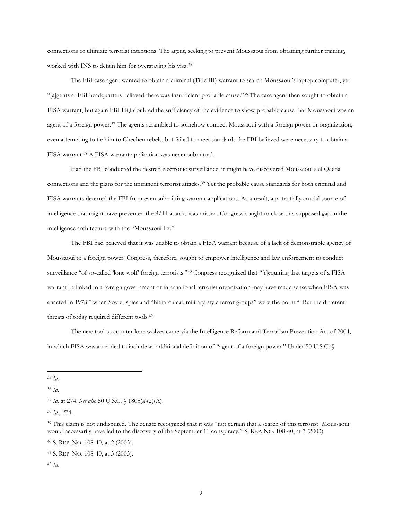connections or ultimate terrorist intentions. The agent, seeking to prevent Moussaoui from obtaining further training, worked with INS to detain him for overstaying his visa.<sup>35</sup>

The FBI case agent wanted to obtain a criminal (Title III) warrant to search Moussaoui's laptop computer, yet "[a]gents at FBI headquarters believed there was insufficient probable cause."<sup>36</sup> The case agent then sought to obtain a FISA warrant, but again FBI HQ doubted the sufficiency of the evidence to show probable cause that Moussaoui was an agent of a foreign power.<sup>37</sup> The agents scrambled to somehow connect Moussaoui with a foreign power or organization, even attempting to tie him to Chechen rebels, but failed to meet standards the FBI believed were necessary to obtain a FISA warrant. <sup>38</sup> A FISA warrant application was never submitted.

Had the FBI conducted the desired electronic surveillance, it might have discovered Moussaoui's al Qaeda connections and the plans for the imminent terrorist attacks.<sup>39</sup> Yet the probable cause standards for both criminal and FISA warrants deterred the FBI from even submitting warrant applications. As a result, a potentially crucial source of intelligence that might have prevented the 9/11 attacks was missed. Congress sought to close this supposed gap in the intelligence architecture with the "Moussaoui fix."

The FBI had believed that it was unable to obtain a FISA warrant because of a lack of demonstrable agency of Moussaoui to a foreign power. Congress, therefore, sought to empower intelligence and law enforcement to conduct surveillance "of so-called 'lone wolf' foreign terrorists."<sup>40</sup> Congress recognized that "[r]equiring that targets of a FISA warrant be linked to a foreign government or international terrorist organization may have made sense when FISA was enacted in 1978," when Soviet spies and "hierarchical, military-style terror groups" were the norm.<sup>41</sup> But the different threats of today required different tools.<sup>42</sup>

The new tool to counter lone wolves came via the Intelligence Reform and Terrorism Prevention Act of 2004, in which FISA was amended to include an additional definition of "agent of a foreign power." Under 50 U.S.C. §

<sup>40</sup> S. REP. NO. 108-40, at 2 (2003).

 $\overline{a}$ <sup>35</sup> *Id*.

<sup>36</sup> *Id*.

<sup>37</sup> *Id.* at 274. *See also* 50 U.S.C. § 1805(a)(2)(A).

<sup>38</sup> *Id.*, 274.

<sup>&</sup>lt;sup>39</sup> This claim is not undisputed. The Senate recognized that it was "not certain that a search of this terrorist [Moussaoui] would necessarily have led to the discovery of the September 11 conspiracy." S. REP. NO. 108-40, at 3 (2003).

<sup>41</sup> S. REP. NO. 108-40, at 3 (2003).

<sup>42</sup> *Id.*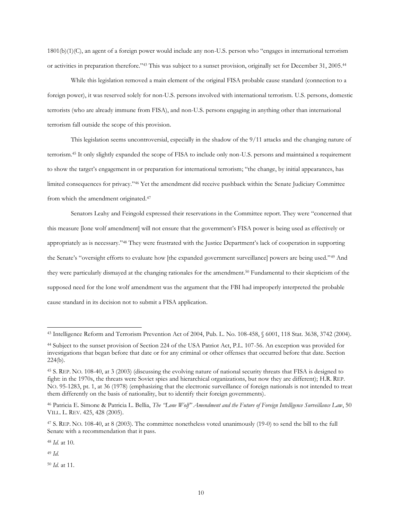1801(b)(1)(C), an agent of a foreign power would include any non-U.S. person who "engages in international terrorism or activities in preparation therefore."<sup>43</sup> This was subject to a sunset provision, originally set for December 31, 2005. 44

While this legislation removed a main element of the original FISA probable cause standard (connection to a foreign power), it was reserved solely for non-U.S. persons involved with international terrorism. U.S. persons, domestic terrorists (who are already immune from FISA), and non-U.S. persons engaging in anything other than international terrorism fall outside the scope of this provision.

This legislation seems uncontroversial, especially in the shadow of the 9/11 attacks and the changing nature of terrorism.<sup>45</sup> It only slightly expanded the scope of FISA to include only non-U.S. persons and maintained a requirement to show the target's engagement in or preparation for international terrorism; "the change, by initial appearances, has limited consequences for privacy."<sup>46</sup> Yet the amendment did receive pushback within the Senate Judiciary Committee from which the amendment originated.<sup>47</sup>

Senators Leahy and Feingold expressed their reservations in the Committee report. They were "concerned that this measure [lone wolf amendment] will not ensure that the government's FISA power is being used as effectively or appropriately as is necessary."<sup>48</sup> They were frustrated with the Justice Department's lack of cooperation in supporting the Senate's "oversight efforts to evaluate how [the expanded government surveillance] powers are being used."<sup>49</sup> And they were particularly dismayed at the changing rationales for the amendment.<sup>50</sup> Fundamental to their skepticism of the supposed need for the lone wolf amendment was the argument that the FBI had improperly interpreted the probable cause standard in its decision not to submit a FISA application.

<sup>48</sup> *Id.* at 10.

<sup>49</sup> *Id.*

 $\overline{a}$ 

<sup>50</sup> *Id.* at 11.

<sup>43</sup> Intelligence Reform and Terrorism Prevention Act of 2004, Pub. L. No. 108-458, § 6001, 118 Stat. 3638, 3742 (2004).

<sup>44</sup> Subject to the sunset provision of Section 224 of the USA Patriot Act, P.L. 107-56. An exception was provided for investigations that began before that date or for any criminal or other offenses that occurred before that date. Section 224(b).

<sup>45</sup> S. REP. NO. 108-40, at 3 (2003) (discussing the evolving nature of national security threats that FISA is designed to fight: in the 1970s, the threats were Soviet spies and hierarchical organizations, but now they are different); H.R. REP. NO. 95-1283, pt. 1, at 36 (1978) (emphasizing that the electronic surveillance of foreign nationals is not intended to treat them differently on the basis of nationality, but to identify their foreign governments).

<sup>46</sup> Patricia E. Simone & Patricia L. Bellia, *The "Lone Wolf" Amendment and the Future of Foreign Intelligence Surveillance Law*, 50 VILL. L. REV. 425, 428 (2005).

<sup>47</sup> S. REP. NO. 108-40, at 8 (2003). The committee nonetheless voted unanimously (19-0) to send the bill to the full Senate with a recommendation that it pass.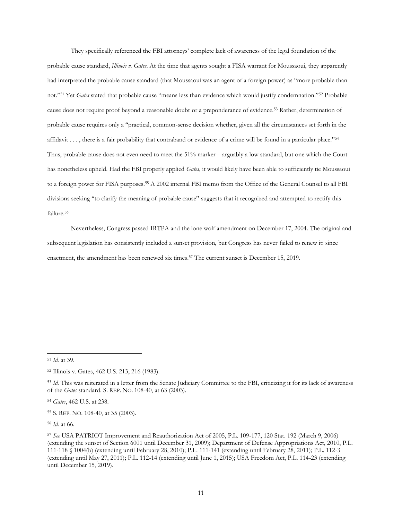They specifically referenced the FBI attorneys' complete lack of awareness of the legal foundation of the probable cause standard, *Illinois v. Gates*. At the time that agents sought a FISA warrant for Moussaoui, they apparently had interpreted the probable cause standard (that Moussaoui was an agent of a foreign power) as "more probable than not."<sup>51</sup> Yet *Gates* stated that probable cause "means less than evidence which would justify condemnation."<sup>52</sup> Probable cause does not require proof beyond a reasonable doubt or a preponderance of evidence.<sup>53</sup> Rather, determination of probable cause requires only a "practical, common-sense decision whether, given all the circumstances set forth in the affidavit  $\dots$ , there is a fair probability that contraband or evidence of a crime will be found in a particular place." $54$ Thus, probable cause does not even need to meet the 51% marker—arguably a low standard, but one which the Court has nonetheless upheld. Had the FBI properly applied *Gates*, it would likely have been able to sufficiently tie Moussaoui to a foreign power for FISA purposes. <sup>55</sup> A 2002 internal FBI memo from the Office of the General Counsel to all FBI divisions seeking "to clarify the meaning of probable cause" suggests that it recognized and attempted to rectify this failure.<sup>56</sup>

Nevertheless, Congress passed IRTPA and the lone wolf amendment on December 17, 2004. The original and subsequent legislation has consistently included a sunset provision, but Congress has never failed to renew it: since enactment, the amendment has been renewed six times. <sup>57</sup> The current sunset is December 15, 2019.

<sup>51</sup> *Id.* at 39.

<sup>52</sup> Illinois v. Gates, 462 U.S. 213, 216 (1983).

<sup>53</sup> *Id.* This was reiterated in a letter from the Senate Judiciary Committee to the FBI, criticizing it for its lack of awareness of the *Gates* standard. S. REP. NO. 108-40, at 63 (2003).

<sup>54</sup> *Gates*, 462 U.S. at 238.

<sup>55</sup> S. REP. NO. 108-40, at 35 (2003).

<sup>56</sup> *Id.* at 66.

<sup>57</sup> *See* USA PATRIOT Improvement and Reauthorization Act of 2005, P.L. 109-177, 120 Stat. 192 (March 9, 2006) (extending the sunset of Section 6001 until December 31, 2009); Department of Defense Appropriations Act, 2010, P.L. 111-118 § 1004(b) (extending until February 28, 2010); P.L. 111-141 (extending until February 28, 2011); P.L. 112-3 (extending until May 27, 2011); P.L. 112-14 (extending until June 1, 2015); USA Freedom Act, P.L. 114-23 (extending until December 15, 2019).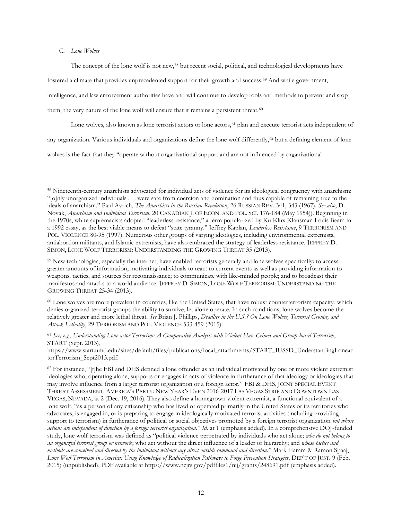# C. *Lone Wolves*

 $\overline{a}$ 

The concept of the lone wolf is not new,<sup>58</sup> but recent social, political, and technological developments have

fostered a climate that provides unprecedented support for their growth and success.<sup>59</sup> And while government,

intelligence, and law enforcement authorities have and will continue to develop tools and methods to prevent and stop

them, the very nature of the lone wolf will ensure that it remains a persistent threat.<sup>60</sup>

Lone wolves, also known as lone terrorist actors or lone actors,<sup>61</sup> plan and execute terrorist acts independent of

any organization. Various individuals and organizations define the lone wolf differently,<sup>62</sup> but a defining element of lone

wolves is the fact that they "operate without organizational support and are not influenced by organizational

<sup>60</sup> Lone wolves are more prevalent in countries, like the United States, that have robust counterterrorism capacity, which denies organized terrorist groups the ability to survive, let alone operate. In such conditions, lone wolves become the relatively greater and more lethal threat. *See* Brian J. Phillips, *Deadlier in the U.S.? On Lone Wolves, Terrorist Groups, and Attack Lethality*, 29 TERRORISM AND POL. VIOLENCE 533-459 (2015).

<sup>61</sup> *See, e.g.*, *Understanding Lone-actor Terrorism: A Comparative Analysis with Violent Hate Crimes and Group-based Terrorism*, START (Sept. 2013),

https://www.start.umd.edu/sites/default/files/publications/local\_attachments/START\_IUSSD\_UnderstandingLoneac torTerrorism\_Sept2013.pdf.

 $62$  For instance, "[t]he FBI and DHS defined a lone offender as an individual motivated by one or more violent extremist ideologies who, operating alone, supports or engages in acts of violence in furtherance of that ideology or ideologies that may involve influence from a larger terrorist organization or a foreign actor." FBI & DHS, JOINT SPECIAL EVENT THREAT ASSESSMENT: AMERICA'S PARTY: NEW YEAR'S EVEN 2016-2017 LAS VEGAS STRIP AND DOWNTOWN LAS VEGAS, NEVADA, at 2 (Dec. 19, 2016). They also define a homegrown violent extremist, a functional equivalent of a lone wolf, "as a person of any citizenship who has lived or operated primarily in the United States or its territories who advocates, is engaged in, or is preparing to engage in ideologically motivated terrorist activities (including providing support to terrorism) in furtherance of political or social objectives promoted by a foreign terrorist organization *but whose actions are independent of direction by a foreign terrorist organization.*" *Id.* at 1 (emphasis added). In a comprehensive DOJ-funded study, lone wolf terrorism was defined as "political violence perpetrated by individuals who act alone; *who do not belong to an organized terrorist group or network*; who act without the direct influence of a leader or hierarchy; and *whose tactics and methods are conceived and directed by the individual without any direct outside command and direction.*" Mark Hamm & Ramon Spaaj, *Lone Wolf Terrorism in America: Using Knowledge of Radicalization Pathways to Forge Prevention Strategies*, DEP'T OF JUST. 9 (Feb. 2015) (unpublished), PDF available at https://www.ncjrs.gov/pdffiles1/nij/grants/248691.pdf (emphasis added).

<sup>58</sup> Nineteenth-century anarchists advocated for individual acts of violence for its ideological congruency with anarchism: "[o]nly unorganized individuals . . . were safe from coercion and domination and thus capable of remaining true to the ideals of anarchism." Paul Avrich, *The Anarchists in the Russian Revolution*, 26 RUSSIAN REV. 341, 343 (1967). *See also*, D. Novak, *Anarchism and Individual Terrorism*, 20 CANADIAN J. OF ECON. AND POL. SCI. 176-184 (May 1954)). Beginning in the 1970s, white supremacists adopted "leaderless resistance," a term popularized by Ku Klux Klansman Louis Beam in a 1992 essay, as the best viable means to defeat "state tyranny." Jeffrey Kaplan, *Leaderless Resistance*, 9 TERRORISM AND POL. VIOLENCE 80-95 (1997). Numerous other groups of varying ideologies, including environmental extremists, antiabortion militants, and Islamic extremists, have also embraced the strategy of leaderless resistance. JEFFREY D. SIMON, LONE WOLF TERRORISM: UNDERSTANDING THE GROWING THREAT 35 (2013).

<sup>59</sup> New technologies, especially the internet, have enabled terrorists generally and lone wolves specifically: to access greater amounts of information, motivating individuals to react to current events as well as providing information to weapons, tactics, and sources for reconnaissance; to communicate with like-minded people; and to broadcast their manifestos and attacks to a world audience. JEFFREY D. SIMON, LONE WOLF TERRORISM: UNDERSTANDING THE GROWING THREAT 25-34 (2013).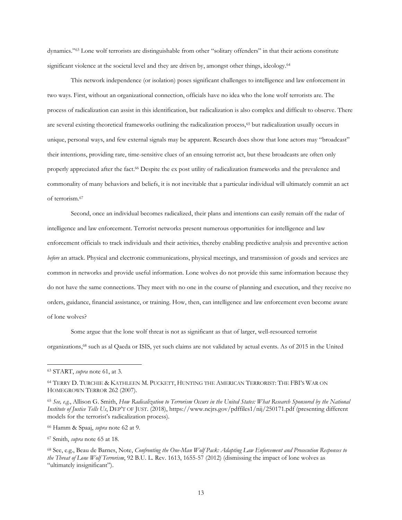dynamics."<sup>63</sup> Lone wolf terrorists are distinguishable from other "solitary offenders" in that their actions constitute significant violence at the societal level and they are driven by, amongst other things, ideology.<sup>64</sup>

This network independence (or isolation) poses significant challenges to intelligence and law enforcement in two ways. First, without an organizational connection, officials have no idea who the lone wolf terrorists are. The process of radicalization can assist in this identification, but radicalization is also complex and difficult to observe. There are several existing theoretical frameworks outlining the radicalization process,<sup>65</sup> but radicalization usually occurs in unique, personal ways, and few external signals may be apparent. Research does show that lone actors may "broadcast" their intentions, providing rare, time-sensitive clues of an ensuing terrorist act, but these broadcasts are often only properly appreciated after the fact. <sup>66</sup> Despite the ex post utility of radicalization frameworks and the prevalence and commonality of many behaviors and beliefs, it is not inevitable that a particular individual will ultimately commit an act of terrorism.<sup>67</sup>

Second, once an individual becomes radicalized, their plans and intentions can easily remain off the radar of intelligence and law enforcement. Terrorist networks present numerous opportunities for intelligence and law enforcement officials to track individuals and their activities, thereby enabling predictive analysis and preventive action *before* an attack. Physical and electronic communications, physical meetings, and transmission of goods and services are common in networks and provide useful information. Lone wolves do not provide this same information because they do not have the same connections. They meet with no one in the course of planning and execution, and they receive no orders, guidance, financial assistance, or training. How, then, can intelligence and law enforcement even become aware of lone wolves?

Some argue that the lone wolf threat is not as significant as that of larger, well-resourced terrorist organizations,<sup>68</sup> such as al Qaeda or ISIS, yet such claims are not validated by actual events. As of 2015 in the United

<sup>63</sup> START, *supra* note 61, at 3.

<sup>64</sup> TERRY D. TURCHIE & KATHLEEN M. PUCKETT, HUNTING THE AMERICAN TERRORIST: THE FBI'S WAR ON HOMEGROWN TERROR 262 (2007).

<sup>65</sup> *See, e.g.*, Allison G. Smith, *How Radicalization to Terrorism Occurs in the United States: What Research Sponsored by the National Institute of Justice Tells Us*, DEP'T OF JUST. (2018), https://www.ncjrs.gov/pdffiles1/nij/250171.pdf (presenting different models for the terrorist's radicalization process).

<sup>66</sup> Hamm & Spaaj, *supra* note 62 at 9*.*

<sup>67</sup> Smith, *supra* note 65 at 18*.*

<sup>68</sup> See, e.g., Beau de Barnes, Note, *Confronting the One-Man Wolf Pack: Adapting Law Enforcement and Prosecution Responses to the Threat of Lone Wolf Terrorism*, 92 B.U. L. Rev. 1613, 1655-57 (2012) (dismissing the impact of lone wolves as "ultimately insignificant").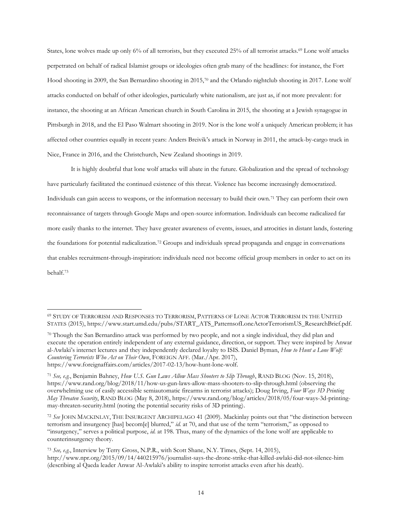States, lone wolves made up only 6% of all terrorists, but they executed 25% of all terrorist attacks.<sup>69</sup> Lone wolf attacks perpetrated on behalf of radical Islamist groups or ideologies often grab many of the headlines: for instance, the Fort Hood shooting in 2009, the San Bernardino shooting in 2015,<sup>70</sup> and the Orlando nightclub shooting in 2017. Lone wolf attacks conducted on behalf of other ideologies, particularly white nationalism, are just as, if not more prevalent: for instance, the shooting at an African American church in South Carolina in 2015, the shooting at a Jewish synagogue in Pittsburgh in 2018, and the El Paso Walmart shooting in 2019. Nor is the lone wolf a uniquely American problem; it has affected other countries equally in recent years: Anders Breivik's attack in Norway in 2011, the attack-by-cargo truck in Nice, France in 2016, and the Christchurch, New Zealand shootings in 2019.

It is highly doubtful that lone wolf attacks will abate in the future. Globalization and the spread of technology have particularly facilitated the continued existence of this threat. Violence has become increasingly democratized. Individuals can gain access to weapons, or the information necessary to build their own.<sup>71</sup> They can perform their own reconnaissance of targets through Google Maps and open-source information. Individuals can become radicalized far more easily thanks to the internet. They have greater awareness of events, issues, and atrocities in distant lands, fostering the foundations for potential radicalization.<sup>72</sup> Groups and individuals spread propaganda and engage in conversations that enables recruitment-through-inspiration: individuals need not become official group members in order to act on its behalf.<sup>73</sup>

<sup>69</sup> STUDY OF TERRORISM AND RESPONSES TO TERRORISM, PATTERNS OF LONE ACTOR TERRORISM IN THE UNITED STATES (2015), https://www.start.umd.edu/pubs/START\_ATS\_PatternsofLoneActorTerrorismUS\_ResearchBrief.pdf.

<sup>70</sup> Though the San Bernardino attack was performed by two people, and not a single individual, they did plan and execute the operation entirely independent of any external guidance, direction, or support. They were inspired by Anwar al-Awlaki's internet lectures and they independently declared loyalty to ISIS. Daniel Byman, *How to Hunt a Lone Wolf: Countering Terrorists Who Act on Their Own*, FOREIGN AFF. (Mar./Apr. 2017), https://www.foreignaffairs.com/articles/2017-02-13/how-hunt-lone-wolf.

<sup>71</sup> *See, e.g.*, Benjamin Bahney, *How U.S. Gun Laws Allow Mass Shooters to Slip Through*, RAND BLOG (Nov. 15, 2018), https://www.rand.org/blog/2018/11/how-us-gun-laws-allow-mass-shooters-to-slip-through.html (observing the overwhelming use of easily accessible semiautomatic firearms in terrorist attacks); Doug Irving, *Four Ways 3D Printing May Threaten Security*, RAND BLOG (May 8, 2018), https://www.rand.org/blog/articles/2018/05/four-ways-3d-printingmay-threaten-security.html (noting the potential security risks of 3D printing).

<sup>72</sup> *See* JOHN MACKINLAY, THE INSURGENT ARCHIPELAGO 41 (2009). Mackinlay points out that "the distinction between terrorism and insurgency [has] becom[e] blurred," *id.* at 70, and that use of the term "terrorism," as opposed to "insurgency," serves a political purpose, *id.* at 198. Thus, many of the dynamics of the lone wolf are applicable to counterinsurgency theory.

<sup>73</sup> *See, e.g.*, Interview by Terry Gross, N.P.R., with Scott Shane, N.Y. Times, (Sept. 14, 2015), http://www.npr.org/2015/09/14/440215976/journalist-says-the-drone-strike-that-killed-awlaki-did-not-silence-him (describing al Qaeda leader Anwar Al-Awlaki's ability to inspire terrorist attacks even after his death).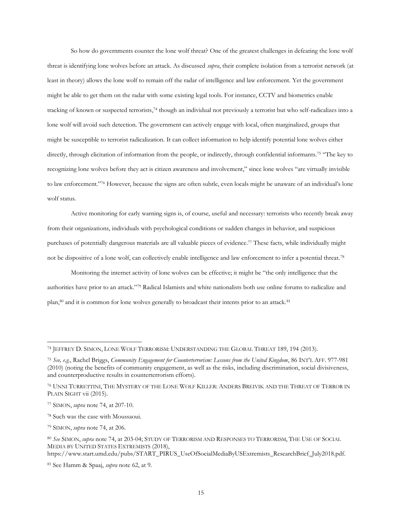So how do governments counter the lone wolf threat? One of the greatest challenges in defeating the lone wolf threat is identifying lone wolves before an attack. As discussed *supra*, their complete isolation from a terrorist network (at least in theory) allows the lone wolf to remain off the radar of intelligence and law enforcement. Yet the government might be able to get them on the radar with some existing legal tools. For instance, CCTV and biometrics enable tracking of known or suspected terrorists, <sup>74</sup> though an individual not previously a terrorist but who self-radicalizes into a lone wolf will avoid such detection. The government can actively engage with local, often marginalized, groups that might be susceptible to terrorist radicalization. It can collect information to help identify potential lone wolves either directly, through elicitation of information from the people, or indirectly, through confidential informants.<sup>75</sup> "The key to recognizing lone wolves before they act is citizen awareness and involvement," since lone wolves "are virtually invisible to law enforcement."76 However, because the signs are often subtle, even locals might be unaware of an individual's lone wolf status.

Active monitoring for early warning signs is, of course, useful and necessary: terrorists who recently break away from their organizations, individuals with psychological conditions or sudden changes in behavior, and suspicious purchases of potentially dangerous materials are all valuable pieces of evidence. <sup>77</sup> These facts, while individually might not be dispositive of a lone wolf, can collectively enable intelligence and law enforcement to infer a potential threat.<sup>78</sup>

Monitoring the internet activity of lone wolves can be effective; it might be "the only intelligence that the authorities have prior to an attack."<sup>79</sup> Radical Islamists and white nationalists both use online forums to radicalize and plan,<sup>80</sup> and it is common for lone wolves generally to broadcast their intents prior to an attack.<sup>81</sup>

 $\overline{a}$ 

https://www.start.umd.edu/pubs/START\_PIRUS\_UseOfSocialMediaByUSExtremists\_ResearchBrief\_July2018.pdf.

<sup>74</sup> JEFFREY D. SIMON, LONE WOLF TERRORISM: UNDERSTANDING THE GLOBAL THREAT 189, 194 (2013).

<sup>75</sup> *See, e.g.*, Rachel Briggs, *Community Engagement for Counterterrorism: Lessons from the United Kingdom*, 86 INT'L AFF. 977-981 (2010) (noting the benefits of community engagement, as well as the risks, including discrimination, social divisiveness, and counterproductive results in counterterrorism efforts).

<sup>76</sup> UNNI TURRETTINI, THE MYSTERY OF THE LONE WOLF KILLER: ANDERS BREIVIK AND THE THREAT OF TERROR IN PLAIN SIGHT vii (2015).

<sup>77</sup> SIMON, *supra* note 74, at 207-10.

<sup>78</sup> Such was the case with Moussaoui.

<sup>79</sup> SIMON, *supra* note 74, at 206.

<sup>80</sup> *See* SIMON, *supra* note 74, at 203-04; STUDY OF TERRORISM AND RESPONSES TO TERRORISM, THE USE OF SOCIAL MEDIA BY UNITED STATES EXTREMISTS (2018),

<sup>81</sup> See Hamm & Spaaj, *supra* note 62, at 9.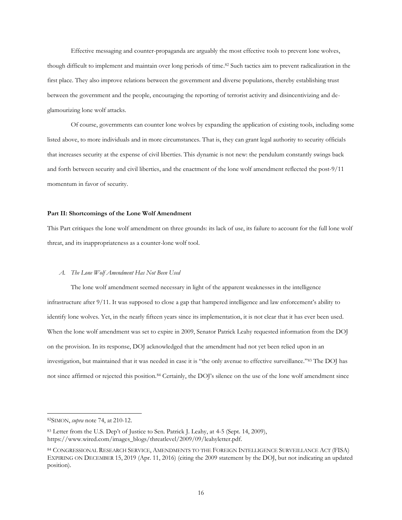Effective messaging and counter-propaganda are arguably the most effective tools to prevent lone wolves, though difficult to implement and maintain over long periods of time. <sup>82</sup> Such tactics aim to prevent radicalization in the first place. They also improve relations between the government and diverse populations, thereby establishing trust between the government and the people, encouraging the reporting of terrorist activity and disincentivizing and deglamourizing lone wolf attacks.

Of course, governments can counter lone wolves by expanding the application of existing tools, including some listed above, to more individuals and in more circumstances. That is, they can grant legal authority to security officials that increases security at the expense of civil liberties. This dynamic is not new: the pendulum constantly swings back and forth between security and civil liberties, and the enactment of the lone wolf amendment reflected the post-9/11 momentum in favor of security.

### **Part II: Shortcomings of the Lone Wolf Amendment**

This Part critiques the lone wolf amendment on three grounds: its lack of use, its failure to account for the full lone wolf threat, and its inappropriateness as a counter-lone wolf tool.

### *A. The Lone Wolf Amendment Has Not Been Used*

The lone wolf amendment seemed necessary in light of the apparent weaknesses in the intelligence infrastructure after 9/11. It was supposed to close a gap that hampered intelligence and law enforcement's ability to identify lone wolves. Yet, in the nearly fifteen years since its implementation, it is not clear that it has ever been used. When the lone wolf amendment was set to expire in 2009, Senator Patrick Leahy requested information from the DOJ on the provision. In its response, DOJ acknowledged that the amendment had not yet been relied upon in an investigation, but maintained that it was needed in case it is "the only avenue to effective surveillance."<sup>83</sup> The DOJ has not since affirmed or rejected this position.<sup>84</sup> Certainly, the DOJ's silence on the use of the lone wolf amendment since

<sup>82</sup>SIMON, *supra* note 74, at 210-12.

<sup>83</sup> Letter from the U.S. Dep't of Justice to Sen. Patrick J. Leahy, at 4-5 (Sept. 14, 2009), https://www.wired.com/images\_blogs/threatlevel/2009/09/leahyletter.pdf.

<sup>84</sup> CONGRESSIONAL RESEARCH SERVICE, AMENDMENTS TO THE FOREIGN INTELLIGENCE SURVEILLANCE ACT (FISA) EXPIRING ON DECEMBER 15, 2019 (Apr. 11, 2016) (citing the 2009 statement by the DOJ, but not indicating an updated position).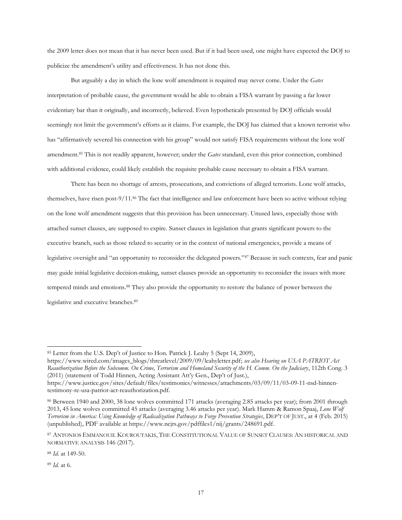the 2009 letter does not mean that it has never been used. But if it had been used, one might have expected the DOJ to publicize the amendment's utility and effectiveness. It has not done this.

But arguably a day in which the lone wolf amendment is required may never come. Under the *Gates* interpretation of probable cause, the government would be able to obtain a FISA warrant by passing a far lower evidentiary bar than it originally, and incorrectly, believed. Even hypotheticals presented by DOJ officials would seemingly not limit the government's efforts as it claims. For example, the DOJ has claimed that a known terrorist who has "affirmatively severed his connection with his group" would not satisfy FISA requirements without the lone wolf amendment. <sup>85</sup> This is not readily apparent, however; under the *Gates* standard, even this prior connection, combined with additional evidence, could likely establish the requisite probable cause necessary to obtain a FISA warrant.

There has been no shortage of arrests, prosecutions, and convictions of alleged terrorists. Lone wolf attacks, themselves, have risen post-9/11.<sup>86</sup> The fact that intelligence and law enforcement have been so active without relying on the lone wolf amendment suggests that this provision has been unnecessary. Unused laws, especially those with attached sunset clauses, are supposed to expire. Sunset clauses in legislation that grants significant powers to the executive branch, such as those related to security or in the context of national emergencies, provide a means of legislative oversight and "an opportunity to reconsider the delegated powers."<sup>87</sup> Because in such contexts, fear and panic may guide initial legislative decision-making, sunset clauses provide an opportunity to reconsider the issues with more tempered minds and emotions.<sup>88</sup> They also provide the opportunity to restore the balance of power between the legislative and executive branches.<sup>89</sup>

<sup>88</sup> *Id.* at 149-50.

<sup>89</sup> *Id.* at 6.

<sup>85</sup> Letter from the U.S. Dep't of Justice to Hon. Patrick J. Leahy 5 (Sept 14, 2009),

https://www.wired.com/images\_blogs/threatlevel/2009/09/leahyletter.pdf; *see also Hearing on USA PATRIOT Act Reauthorization Before the Subcomm. On Crime, Terrorism and Homeland Security of the H. Comm. On the Judiciary*, 112th Cong. 3 (2011) (statement of Todd Hinnen, Acting Assistant Att'y Gen., Dep't of Just.),

https://www.justice.gov/sites/default/files/testimonies/witnesses/attachments/03/09/11/03-09-11-nsd-hinnentestimony-re-usa-patriot-act-reauthorization.pdf.

<sup>86</sup> Between 1940 and 2000, 38 lone wolves committed 171 attacks (averaging 2.85 attacks per year); from 2001 through 2013, 45 lone wolves committed 45 attacks (averaging 3.46 attacks per year). Mark Hamm & Ramon Spaaj, *Lone Wolf Terrorism in America: Using Knowledge of Radicalization Pathways to Forge Prevention Strategies*, DEP'T OF JUST., at 4 (Feb. 2015) (unpublished), PDF available at https://www.ncjrs.gov/pdffiles1/nij/grants/248691.pdf.

<sup>87</sup> ANTONIOS EMMANOUIL KOUROUTAKIS, THE CONSTITUTIONAL VALUE OF SUNSET CLAUSES: AN HISTORICAL AND NORMATIVE ANALYSIS 146 (2017).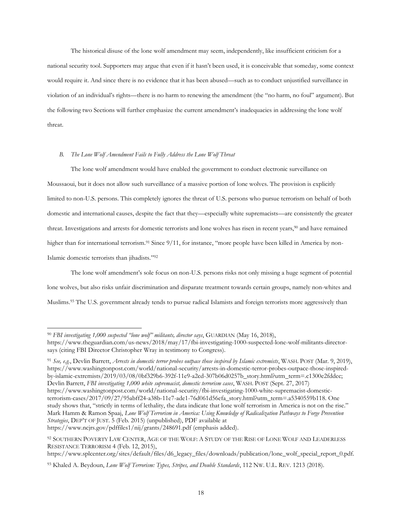The historical disuse of the lone wolf amendment may seem, independently, like insufficient criticism for a national security tool. Supporters may argue that even if it hasn't been used, it is conceivable that someday, some context would require it. And since there is no evidence that it has been abused—such as to conduct unjustified surveillance in violation of an individual's rights—there is no harm to renewing the amendment (the "no harm, no foul" argument). But the following two Sections will further emphasize the current amendment's inadequacies in addressing the lone wolf threat.

# *B. The Lone Wolf Amendment Fails to Fully Address the Lone Wolf Threat*

The lone wolf amendment would have enabled the government to conduct electronic surveillance on Moussaoui, but it does not allow such surveillance of a massive portion of lone wolves. The provision is explicitly limited to non-U.S. persons. This completely ignores the threat of U.S. persons who pursue terrorism on behalf of both domestic and international causes, despite the fact that they—especially white supremacists—are consistently the greater threat. Investigations and arrests for domestic terrorists and lone wolves has risen in recent years,<sup>90</sup> and have remained higher than for international terrorism.<sup>91</sup> Since 9/11, for instance, "more people have been killed in America by non-Islamic domestic terrorists than jihadists."<sup>92</sup>

The lone wolf amendment's sole focus on non-U.S. persons risks not only missing a huge segment of potential lone wolves, but also risks unfair discrimination and disparate treatment towards certain groups, namely non-whites and Muslims.<sup>93</sup> The U.S. government already tends to pursue radical Islamists and foreign terrorists more aggressively than

<sup>91</sup> *See, e.g.*, Devlin Barrett, *Arrests in domestic terror probes outpace those inspired by Islamic extremists*, WASH. POST (Mar. 9, 2019), https://www.washingtonpost.com/world/national-security/arrests-in-domestic-terror-probes-outpace-those-inspiredby-islamic-extremists/2019/03/08/0bf329b6-392f-11e9-a2cd-307b06d0257b\_story.html?utm\_term=.c1300e2fddec; Devlin Barrett, *FBI investigating 1,000 white supremacist, domestic terrorism cases*, WASH. POST (Sept. 27, 2017) https://www.washingtonpost.com/world/national-security/fbi-investigating-1000-white-supremacist-domesticterrorism-cases/2017/09/27/95abff24-a38b-11e7-ade1-76d061d56efa\_story.html?utm\_term=.a5340559b118. One study shows that, "strictly in terms of lethality, the data indicate that lone wolf terrorism in America is not on the rise." Mark Hamm & Ramon Spaaj, *Lone Wolf Terrorism in America: Using Knowledge of Radicalization Pathways to Forge Prevention Strategies*, DEP'T OF JUST. 5 (Feb. 2015) (unpublished), PDF available at

<sup>90</sup> *FBI investigating 1,000 suspected "lone wolf" militants, director says*, GUARDIAN (May 16, 2018), https://www.theguardian.com/us-news/2018/may/17/fbi-investigating-1000-suspected-lone-wolf-militants-directorsays (citing FBI Director Christopher Wray in testimony to Congress).

https://www.ncjrs.gov/pdffiles1/nij/grants/248691.pdf (emphasis added).

<sup>92</sup> SOUTHERN POVERTY LAW CENTER, AGE OF THE WOLF: A STUDY OF THE RISE OF LONE WOLF AND LEADERLESS RESISTANCE TERRORISM 4 (Feb. 12, 2015),

https://www.splcenter.org/sites/default/files/d6\_legacy\_files/downloads/publication/lone\_wolf\_special\_report\_0.pdf.

<sup>93</sup> Khaled A. Beydoun, *Lone Wolf Terrorism: Types, Stripes, and Double Standards*, 112 NW. U.L. REV. 1213 (2018).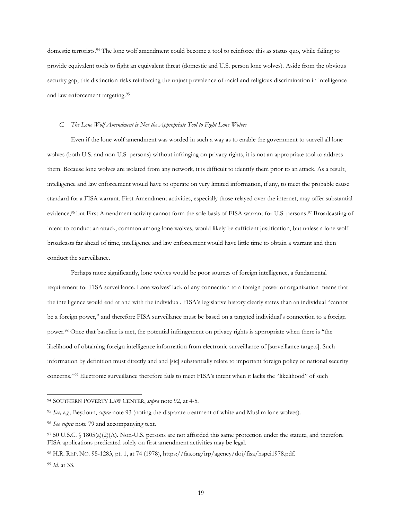domestic terrorists.<sup>94</sup> The lone wolf amendment could become a tool to reinforce this as status quo, while failing to provide equivalent tools to fight an equivalent threat (domestic and U.S. person lone wolves). Aside from the obvious security gap, this distinction risks reinforcing the unjust prevalence of racial and religious discrimination in intelligence and law enforcement targeting. 95

#### *C. The Lone Wolf Amendment is Not the Appropriate Tool to Fight Lone Wolves*

Even if the lone wolf amendment was worded in such a way as to enable the government to surveil all lone wolves (both U.S. and non-U.S. persons) without infringing on privacy rights, it is not an appropriate tool to address them. Because lone wolves are isolated from any network, it is difficult to identify them prior to an attack. As a result, intelligence and law enforcement would have to operate on very limited information, if any, to meet the probable cause standard for a FISA warrant. First Amendment activities, especially those relayed over the internet, may offer substantial evidence,<sup>96</sup> but First Amendment activity cannot form the sole basis of FISA warrant for U.S. persons.<sup>97</sup> Broadcasting of intent to conduct an attack, common among lone wolves, would likely be sufficient justification, but unless a lone wolf broadcasts far ahead of time, intelligence and law enforcement would have little time to obtain a warrant and then conduct the surveillance.

Perhaps more significantly, lone wolves would be poor sources of foreign intelligence, a fundamental requirement for FISA surveillance. Lone wolves' lack of any connection to a foreign power or organization means that the intelligence would end at and with the individual. FISA's legislative history clearly states than an individual "cannot be a foreign power," and therefore FISA surveillance must be based on a targeted individual's connection to a foreign power.<sup>98</sup> Once that baseline is met, the potential infringement on privacy rights is appropriate when there is "the likelihood of obtaining foreign intelligence information from electronic surveillance of [surveillance targets]. Such information by definition must directly and and [sic] substantially relate to important foreign policy or national security concerns."<sup>99</sup> Electronic surveillance therefore fails to meet FISA's intent when it lacks the "likelihood" of such

<sup>94</sup> SOUTHERN POVERTY LAW CENTER, *supra* note 92, at 4-5.

<sup>95</sup> *See, e.g.*, Beydoun, *supra* note 93 (noting the disparate treatment of white and Muslim lone wolves).

<sup>96</sup> *See supra* note 79 and accompanying text.

<sup>97</sup> 50 U.S.C. § 1805(a)(2)(A). Non-U.S. persons are not afforded this same protection under the statute, and therefore FISA applications predicated solely on first amendment activities may be legal.

<sup>98</sup> H.R. REP. NO. 95-1283, pt. 1, at 74 (1978), https://fas.org/irp/agency/doj/fisa/hspci1978.pdf.

<sup>99</sup> *Id.* at 33.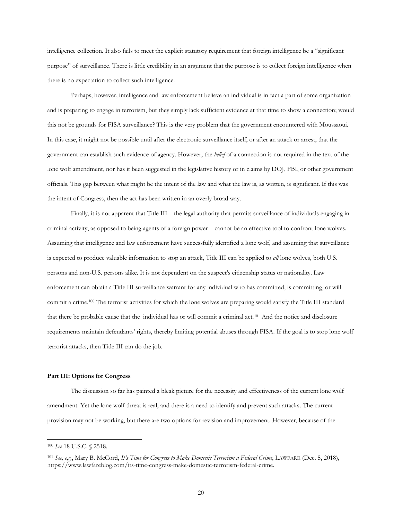intelligence collection. It also fails to meet the explicit statutory requirement that foreign intelligence be a "significant purpose" of surveillance. There is little credibility in an argument that the purpose is to collect foreign intelligence when there is no expectation to collect such intelligence.

Perhaps, however, intelligence and law enforcement believe an individual is in fact a part of some organization and is preparing to engage in terrorism, but they simply lack sufficient evidence at that time to show a connection; would this not be grounds for FISA surveillance? This is the very problem that the government encountered with Moussaoui. In this case, it might not be possible until after the electronic surveillance itself, or after an attack or arrest, that the government can establish such evidence of agency. However, the *belief* of a connection is not required in the text of the lone wolf amendment, nor has it been suggested in the legislative history or in claims by DOJ, FBI, or other government officials. This gap between what might be the intent of the law and what the law is, as written, is significant. If this was the intent of Congress, then the act has been written in an overly broad way.

Finally, it is not apparent that Title III—the legal authority that permits surveillance of individuals engaging in criminal activity, as opposed to being agents of a foreign power—cannot be an effective tool to confront lone wolves. Assuming that intelligence and law enforcement have successfully identified a lone wolf, and assuming that surveillance is expected to produce valuable information to stop an attack, Title III can be applied to *all* lone wolves, both U.S. persons and non-U.S. persons alike. It is not dependent on the suspect's citizenship status or nationality. Law enforcement can obtain a Title III surveillance warrant for any individual who has committed, is committing, or will commit a crime.<sup>100</sup> The terrorist activities for which the lone wolves are preparing would satisfy the Title III standard that there be probable cause that the individual has or will commit a criminal act.<sup>101</sup> And the notice and disclosure requirements maintain defendants' rights, thereby limiting potential abuses through FISA. If the goal is to stop lone wolf terrorist attacks, then Title III can do the job.

#### **Part III: Options for Congress**

The discussion so far has painted a bleak picture for the necessity and effectiveness of the current lone wolf amendment. Yet the lone wolf threat is real, and there is a need to identify and prevent such attacks. The current provision may not be working, but there are two options for revision and improvement. However, because of the

<sup>100</sup> *See* 18 U.S.C. § 2518.

<sup>101</sup> *See, e.g.*, Mary B. McCord, *It's Time for Congress to Make Domestic Terrorism a Federal Crime*, LAWFARE (Dec. 5, 2018), https://www.lawfareblog.com/its-time-congress-make-domestic-terrorism-federal-crime.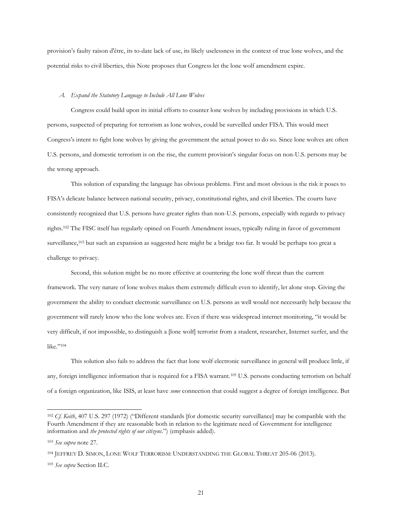provision's faulty raison d'être, its to-date lack of use, its likely uselessness in the context of true lone wolves, and the potential risks to civil liberties, this Note proposes that Congress let the lone wolf amendment expire.

#### *A. Expand the Statutory Language to Include All Lone Wolves*

Congress could build upon its initial efforts to counter lone wolves by including provisions in which U.S. persons, suspected of preparing for terrorism as lone wolves, could be surveilled under FISA. This would meet Congress's intent to fight lone wolves by giving the government the actual power to do so. Since lone wolves are often U.S. persons, and domestic terrorism is on the rise, the current provision's singular focus on non-U.S. persons may be the wrong approach.

This solution of expanding the language has obvious problems. First and most obvious is the risk it poses to FISA's delicate balance between national security, privacy, constitutional rights, and civil liberties. The courts have consistently recognized that U.S. persons have greater rights than non-U.S. persons, especially with regards to privacy rights.<sup>102</sup> The FISC itself has regularly opined on Fourth Amendment issues, typically ruling in favor of government surveillance,<sup>103</sup> but such an expansion as suggested here might be a bridge too far. It would be perhaps too great a challenge to privacy.

Second, this solution might be no more effective at countering the lone wolf threat than the current framework. The very nature of lone wolves makes them extremely difficult even to identify, let alone stop. Giving the government the ability to conduct electronic surveillance on U.S. persons as well would not necessarily help because the government will rarely know who the lone wolves are. Even if there was widespread internet monitoring, "it would be very difficult, if not impossible, to distinguish a [lone wolf] terrorist from a student, researcher, Internet surfer, and the like."<sup>104</sup>

This solution also fails to address the fact that lone wolf electronic surveillance in general will produce little, if any, foreign intelligence information that is required for a FISA warrant.<sup>105</sup> U.S. persons conducting terrorism on behalf of a foreign organization, like ISIS, at least have *some* connection that could suggest a degree of foreign intelligence. But

<sup>102</sup> *Cf. Keith*, 407 U.S. 297 (1972) ("Different standards [for domestic security surveillance] may be compatible with the Fourth Amendment if they are reasonable both in relation to the legitimate need of Government for intelligence information and *the protected rights of our citizens*.") (emphasis added).

<sup>103</sup> *See supra* note 27.

<sup>104</sup> JEFFREY D. SIMON, LONE WOLF TERRORISM: UNDERSTANDING THE GLOBAL THREAT 205-06 (2013).

<sup>105</sup> *See supra* Section II.C.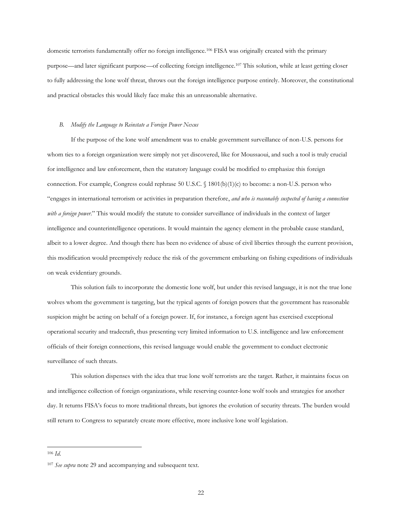domestic terrorists fundamentally offer no foreign intelligence.<sup>106</sup> FISA was originally created with the primary purpose—and later significant purpose—of collecting foreign intelligence.<sup>107</sup> This solution, while at least getting closer to fully addressing the lone wolf threat, throws out the foreign intelligence purpose entirely. Moreover, the constitutional and practical obstacles this would likely face make this an unreasonable alternative.

#### *B. Modify the Language to Reinstate a Foreign Power Nexus*

If the purpose of the lone wolf amendment was to enable government surveillance of non-U.S. persons for whom ties to a foreign organization were simply not yet discovered, like for Moussaoui, and such a tool is truly crucial for intelligence and law enforcement, then the statutory language could be modified to emphasize this foreign connection. For example, Congress could rephrase 50 U.S.C. § 1801(b)(1)(c) to become: a non-U.S. person who "engages in international terrorism or activities in preparation therefore, *and who is reasonably suspected of having a connection with a foreign power*." This would modify the statute to consider surveillance of individuals in the context of larger intelligence and counterintelligence operations. It would maintain the agency element in the probable cause standard, albeit to a lower degree. And though there has been no evidence of abuse of civil liberties through the current provision, this modification would preemptively reduce the risk of the government embarking on fishing expeditions of individuals on weak evidentiary grounds.

This solution fails to incorporate the domestic lone wolf, but under this revised language, it is not the true lone wolves whom the government is targeting, but the typical agents of foreign powers that the government has reasonable suspicion might be acting on behalf of a foreign power. If, for instance, a foreign agent has exercised exceptional operational security and tradecraft, thus presenting very limited information to U.S. intelligence and law enforcement officials of their foreign connections, this revised language would enable the government to conduct electronic surveillance of such threats.

This solution dispenses with the idea that true lone wolf terrorists are the target. Rather, it maintains focus on and intelligence collection of foreign organizations, while reserving counter-lone wolf tools and strategies for another day. It returns FISA's focus to more traditional threats, but ignores the evolution of security threats. The burden would still return to Congress to separately create more effective, more inclusive lone wolf legislation.

<sup>106</sup> *Id*.

<sup>107</sup> *See supra* note 29 and accompanying and subsequent text.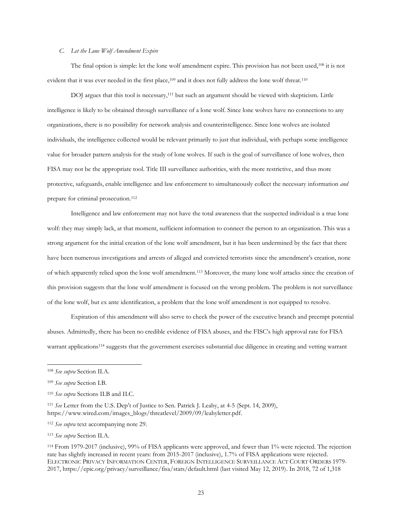# *C. Let the Lone Wolf Amendment Expire*

The final option is simple: let the lone wolf amendment expire. This provision has not been used,<sup>108</sup> it is not evident that it was ever needed in the first place,<sup>109</sup> and it does not fully address the lone wolf threat.<sup>110</sup>

DOJ argues that this tool is necessary,<sup>111</sup> but such an argument should be viewed with skepticism. Little intelligence is likely to be obtained through surveillance of a lone wolf. Since lone wolves have no connections to any organizations, there is no possibility for network analysis and counterintelligence. Since lone wolves are isolated individuals, the intelligence collected would be relevant primarily to just that individual, with perhaps some intelligence value for broader pattern analysis for the study of lone wolves. If such is the goal of surveillance of lone wolves, then FISA may not be the appropriate tool. Title III surveillance authorities, with the more restrictive, and thus more protective, safeguards, enable intelligence and law enforcement to simultaneously collect the necessary information *and* prepare for criminal prosecution. 112

Intelligence and law enforcement may not have the total awareness that the suspected individual is a true lone wolf: they may simply lack, at that moment, sufficient information to connect the person to an organization. This was a strong argument for the initial creation of the lone wolf amendment, but it has been undermined by the fact that there have been numerous investigations and arrests of alleged and convicted terrorists since the amendment's creation, none of which apparently relied upon the lone wolf amendment.<sup>113</sup> Moreover, the many lone wolf attacks since the creation of this provision suggests that the lone wolf amendment is focused on the wrong problem. The problem is not surveillance of the lone wolf, but ex ante identification, a problem that the lone wolf amendment is not equipped to resolve.

Expiration of this amendment will also serve to check the power of the executive branch and preempt potential abuses. Admittedly, there has been no credible evidence of FISA abuses, and the FISC's high approval rate for FISA warrant applications<sup>114</sup> suggests that the government exercises substantial due diligence in creating and vetting warrant

<sup>108</sup> *See supra* Section II.A.

<sup>109</sup> *See supra* Section I.B.

<sup>110</sup> *See supra* Sections II.B and II.C.

<sup>111</sup> *See* Letter from the U.S. Dep't of Justice to Sen. Patrick J. Leahy, at 4-5 (Sept. 14, 2009), https://www.wired.com/images\_blogs/threatlevel/2009/09/leahyletter.pdf.

<sup>112</sup> *See supra* text accompanying note 29.

<sup>113</sup> *See supra* Section II.A.

<sup>114</sup> From 1979-2017 (inclusive), 99% of FISA applicants were approved, and fewer than 1% were rejected. The rejection rate has slightly increased in recent years: from 2015-2017 (inclusive), 1.7% of FISA applications were rejected. ELECTRONIC PRIVACY INFORMATION CENTER, FOREIGN INTELLIGENCE SURVEILLANCE ACT COURT ORDERS 1979- 2017, https://epic.org/privacy/surveillance/fisa/stats/default.html (last visited May 12, 2019). In 2018, 72 of 1,318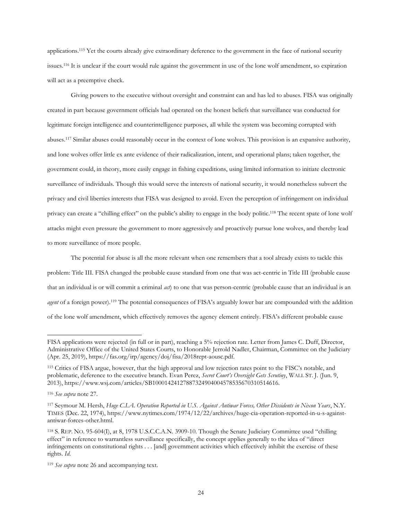applications.<sup>115</sup> Yet the courts already give extraordinary deference to the government in the face of national security issues. <sup>116</sup> It is unclear if the court would rule against the government in use of the lone wolf amendment, so expiration will act as a preemptive check.

Giving powers to the executive without oversight and constraint can and has led to abuses. FISA was originally created in part because government officials had operated on the honest beliefs that surveillance was conducted for legitimate foreign intelligence and counterintelligence purposes, all while the system was becoming corrupted with abuses. <sup>117</sup> Similar abuses could reasonably occur in the context of lone wolves. This provision is an expansive authority, and lone wolves offer little ex ante evidence of their radicalization, intent, and operational plans; taken together, the government could, in theory, more easily engage in fishing expeditions, using limited information to initiate electronic surveillance of individuals. Though this would serve the interests of national security, it would nonetheless subvert the privacy and civil liberties interests that FISA was designed to avoid. Even the perception of infringement on individual privacy can create a "chilling effect" on the public's ability to engage in the body politic.<sup>118</sup> The recent spate of lone wolf attacks might even pressure the government to more aggressively and proactively pursue lone wolves, and thereby lead to more surveillance of more people.

The potential for abuse is all the more relevant when one remembers that a tool already exists to tackle this problem: Title III. FISA changed the probable cause standard from one that was act-centric in Title III (probable cause that an individual is or will commit a criminal *act*) to one that was person-centric (probable cause that an individual is an *agent* of a foreign power).<sup>119</sup> The potential consequences of FISA's arguably lower bar are compounded with the addition of the lone wolf amendment, which effectively removes the agency element entirely. FISA's different probable cause

FISA applications were rejected (in full or in part), reaching a 5% rejection rate. Letter from James C. Duff, Director, Administrative Office of the United States Courts, to Honorable Jerrold Nadler, Chairman, Committee on the Judiciary (Apr. 25, 2019), https://fas.org/irp/agency/doj/fisa/2018rept-aousc.pdf.

<sup>115</sup> Critics of FISA argue, however, that the high approval and low rejection rates point to the FISC's notable, and problematic, deference to the executive branch. Evan Perez, *Secret Court's Oversight Gets Scrutiny*, WALL ST. J. (Jun. 9, 2013), https://www.wsj.com/articles/SB10001424127887324904004578535670310514616.

<sup>116</sup> *See supra* note 27.

<sup>117</sup> Seymour M. Hersh, *Huge C.I.A. Operation Reported in U.S. Against Antiwar Forces, Other Dissidents in Nixon Years*, N.Y. TIMES (Dec. 22, 1974), https://www.nytimes.com/1974/12/22/archives/huge-cia-operation-reported-in-u-s-againstantiwar-forces-other.html.

<sup>118</sup> S. REP. NO. 95-604(I), at 8, 1978 U.S.C.C.A.N. 3909-10. Though the Senate Judiciary Committee used "chilling effect" in reference to warrantless surveillance specifically, the concept applies generally to the idea of "direct infringements on constitutional rights . . . [and] government activities which effectively inhibit the exercise of these rights. *Id*.

<sup>119</sup> *See supra* note 26 and accompanying text.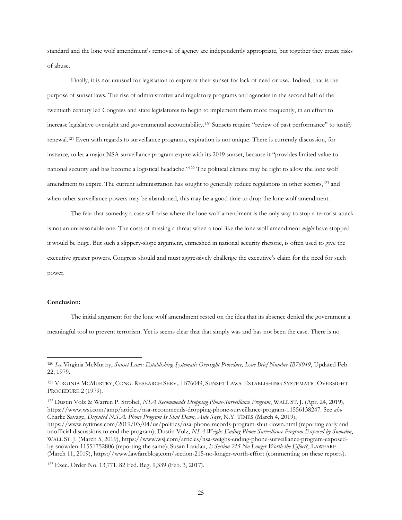standard and the lone wolf amendment's removal of agency are independently appropriate, but together they create risks of abuse.

Finally, it is not unusual for legislation to expire at their sunset for lack of need or use. Indeed, that is the purpose of sunset laws. The rise of administrative and regulatory programs and agencies in the second half of the twentieth century led Congress and state legislatures to begin to implement them more frequently, in an effort to increase legislative oversight and governmental accountability.<sup>120</sup> Sunsets require "review of past performance" to justify renewal.<sup>121</sup> Even with regards to surveillance programs, expiration is not unique. There is currently discussion, for instance, to let a major NSA surveillance program expire with its 2019 sunset, because it "provides limited value to national security and has become a logistical headache."<sup>122</sup> The political climate may be right to allow the lone wolf amendment to expire. The current administration has sought to generally reduce regulations in other sectors,<sup>123</sup> and when other surveillance powers may be abandoned, this may be a good time to drop the lone wolf amendment.

The fear that someday a case will arise where the lone wolf amendment is the only way to stop a terrorist attack is not an unreasonable one. The costs of missing a threat when a tool like the lone wolf amendment *might* have stopped it would be huge. But such a slippery-slope argument, enmeshed in national security rhetoric, is often used to give the executive greater powers. Congress should and must aggressively challenge the executive's claim for the need for such power.

### **Conclusion:**

 $\overline{a}$ 

The initial argument for the lone wolf amendment rested on the idea that its absence denied the government a meaningful tool to prevent terrorism. Yet is seems clear that that simply was and has not been the case. There is no

<sup>122</sup> Dustin Volz & Warren P. Strobel, *NSA Recommends Dropping Phone-Surveillance Program*, WALL ST. J. (Apr. 24, 2019), https://www.wsj.com/amp/articles/nsa-recommends-dropping-phone-surveillance-program-11556138247. See *also* Charlie Savage, *Disputed N.S.A. Phone Program Is Shut Down, Aide Says*, N.Y. TIMES (March 4, 2019), https://www.nytimes.com/2019/03/04/us/politics/nsa-phone-records-program-shut-down.html (reporting early and unofficial discussions to end the program); Dustin Volz, *NSA Weighs Ending Phone Surveillance Program Exposed by Snowden*, WALL ST. J. (March 5, 2019), https://www.wsj.com/articles/nsa-weighs-ending-phone-surveillance-program-exposedby-snowden-11551752806 (reporting the same); Susan Landau, *Is Section 215 No Longer Worth the Effort?*, LAWFARE (March 11, 2019), https://www.lawfareblog.com/section-215-no-longer-worth-effort (commenting on these reports).

<sup>120</sup> *See* Virginia McMurtry, *Sunset Laws: Establishing Systematic Oversight Procedure, Issue Brief Number IB76049*, Updated Feb. 22, 1979.

<sup>121</sup> VIRGINIA MCMURTRY, CONG. RESEARCH SERV., IB76049, SUNSET LAWS: ESTABLISHING SYSTEMATIC OVERSIGHT PROCEDURE 2 (1979).

<sup>123</sup> Exec. Order No. 13,771, 82 Fed. Reg. 9,339 (Feb. 3, 2017).